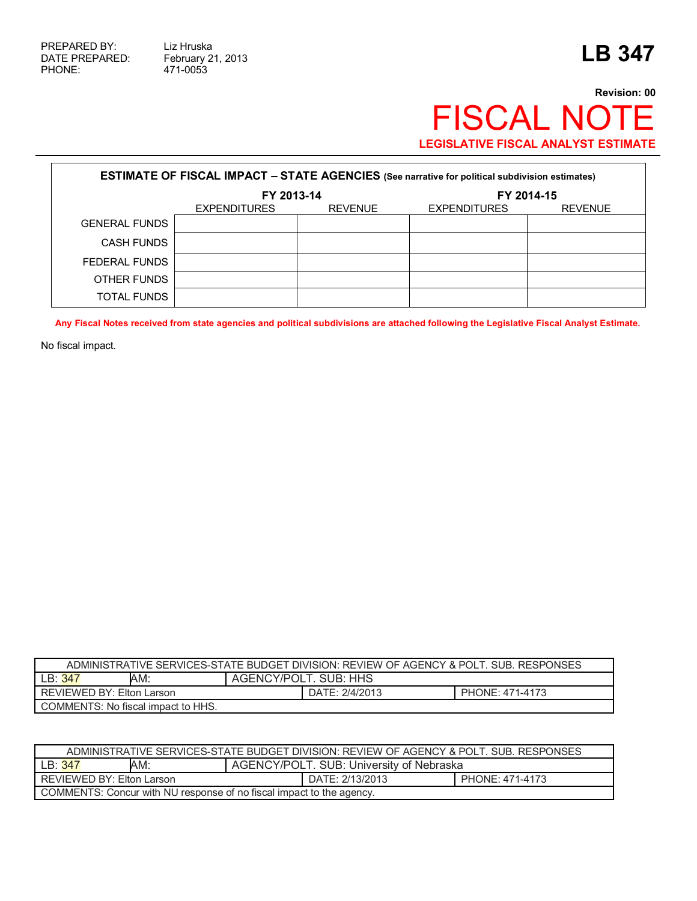$\Gamma$ 

471-0053

٦

## **Revision: 00** FISCAL NOTE **LEGISLATIVE FISCAL ANALYST ESTIMATE**

| <b>ESTIMATE OF FISCAL IMPACT - STATE AGENCIES (See narrative for political subdivision estimates)</b> |                     |                |                     |                |  |
|-------------------------------------------------------------------------------------------------------|---------------------|----------------|---------------------|----------------|--|
|                                                                                                       | FY 2013-14          |                | FY 2014-15          |                |  |
|                                                                                                       | <b>EXPENDITURES</b> | <b>REVENUE</b> | <b>EXPENDITURES</b> | <b>REVENUE</b> |  |
| <b>GENERAL FUNDS</b>                                                                                  |                     |                |                     |                |  |
| <b>CASH FUNDS</b>                                                                                     |                     |                |                     |                |  |
| FEDERAL FUNDS                                                                                         |                     |                |                     |                |  |
| OTHER FUNDS                                                                                           |                     |                |                     |                |  |
| TOTAL FUNDS                                                                                           |                     |                |                     |                |  |

**Any Fiscal Notes received from state agencies and political subdivisions are attached following the Legislative Fiscal Analyst Estimate.** 

No fiscal impact.

| ADMINISTRATIVE SERVICES-STATE BUDGET DIVISION: REVIEW OF AGENCY & POLT. SUB. RESPONSES |     |                       |                |                 |  |  |
|----------------------------------------------------------------------------------------|-----|-----------------------|----------------|-----------------|--|--|
| LB:347                                                                                 | AM: | AGENCY/POLT. SUB: HHS |                |                 |  |  |
| REVIEWED BY: Elton Larson                                                              |     |                       | DATE: 2/4/2013 | PHONE: 471-4173 |  |  |
| COMMENTS: No fiscal impact to HHS.                                                     |     |                       |                |                 |  |  |

| ADMINISTRATIVE SERVICES-STATE BUDGET DIVISION: REVIEW OF AGENCY & POLT. SUB. RESPONSES |  |  |  |  |  |
|----------------------------------------------------------------------------------------|--|--|--|--|--|
| AM:<br>AGENCY/POLT. SUB: University of Nebraska<br>LB: 347                             |  |  |  |  |  |
| REVIEWED BY: Elton Larson<br>DATE: 2/13/2013<br>PHONE: 471-4173                        |  |  |  |  |  |
| COMMENTS: Concur with NU response of no fiscal impact to the agency.                   |  |  |  |  |  |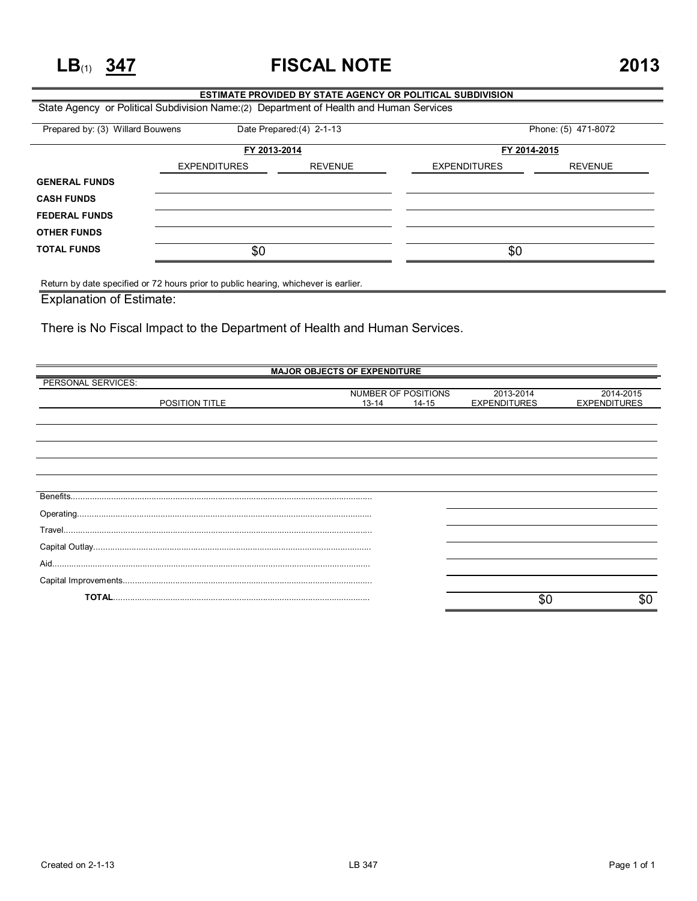**LB**(1) **347 FISCAL NOTE 2013**

## **ESTIMATE PROVIDED BY STATE AGENCY OR POLITICAL SUBDIVISION**

State Agency or Political Subdivision Name:(2) Department of Health and Human Services

| FY 2013-2014        |                |                     |                |  |
|---------------------|----------------|---------------------|----------------|--|
|                     |                | FY 2014-2015        |                |  |
| <b>EXPENDITURES</b> | <b>REVENUE</b> | <b>EXPENDITURES</b> | <b>REVENUE</b> |  |
|                     |                |                     |                |  |
|                     |                |                     |                |  |
|                     |                |                     |                |  |
|                     |                |                     |                |  |
| \$0                 |                | \$0                 |                |  |
|                     |                |                     |                |  |

Return by date specified or 72 hours prior to public hearing, whichever is earlier.

Explanation of Estimate:

There is No Fiscal Impact to the Department of Health and Human Services.

| <b>MAJOR OBJECTS OF EXPENDITURE</b> |           |                     |                     |                     |  |
|-------------------------------------|-----------|---------------------|---------------------|---------------------|--|
| PERSONAL SERVICES:                  |           |                     |                     |                     |  |
|                                     |           | NUMBER OF POSITIONS | 2013-2014           | 2014-2015           |  |
| <b>POSITION TITLE</b>               | $13 - 14$ | $14 - 15$           | <b>EXPENDITURES</b> | <b>EXPENDITURES</b> |  |
|                                     |           |                     |                     |                     |  |
|                                     |           |                     |                     |                     |  |
|                                     |           |                     |                     |                     |  |
|                                     |           |                     |                     |                     |  |
|                                     |           |                     |                     |                     |  |
|                                     |           |                     |                     |                     |  |
|                                     |           |                     |                     |                     |  |
|                                     |           |                     |                     |                     |  |
|                                     |           |                     |                     |                     |  |
|                                     |           |                     |                     |                     |  |
|                                     |           |                     |                     |                     |  |
|                                     |           |                     |                     |                     |  |
|                                     |           |                     |                     |                     |  |
|                                     |           |                     |                     |                     |  |
|                                     |           |                     |                     |                     |  |
|                                     |           |                     |                     |                     |  |
|                                     |           |                     | \$C                 | \$0                 |  |
|                                     |           |                     |                     |                     |  |